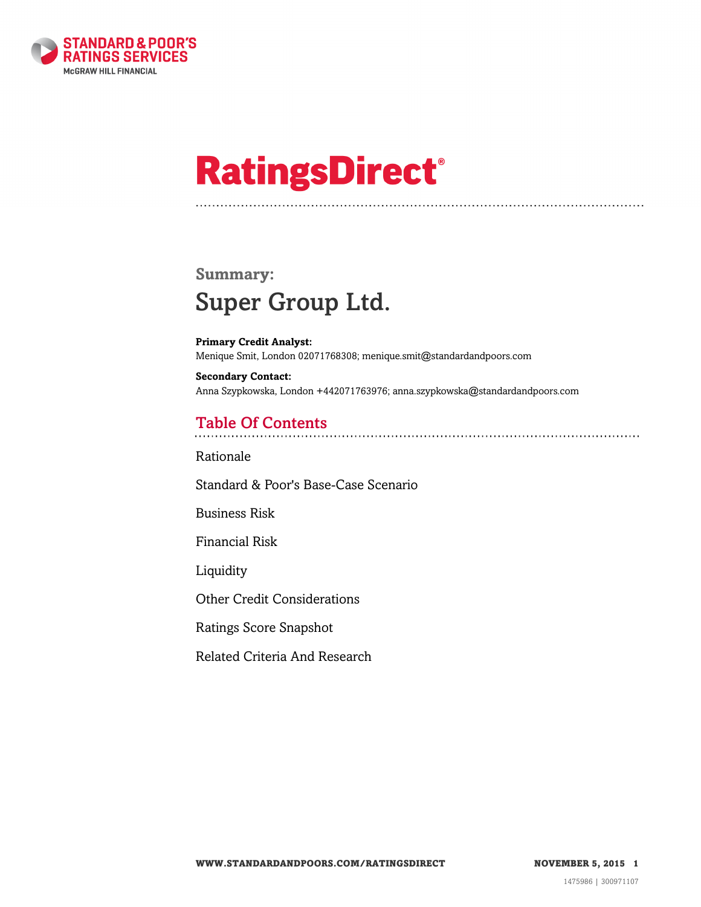

# **RatingsDirect®**

## **Summary:** Super Group Ltd.

**Primary Credit Analyst:** Menique Smit, London 02071768308; menique.smit@standardandpoors.com

**Secondary Contact:** Anna Szypkowska, London +442071763976; anna.szypkowska@standardandpoors.com

## Table Of Contents

[Rationale](#page-1-0)

[Standard & Poor's Base-Case Scenario](#page-1-1)

[Business Risk](#page-1-2)

[Financial Risk](#page-2-0)

[Liquidity](#page-2-1)

[Other Credit Considerations](#page-3-0)

[Ratings Score Snapshot](#page-3-1)

[Related Criteria And Research](#page-4-0)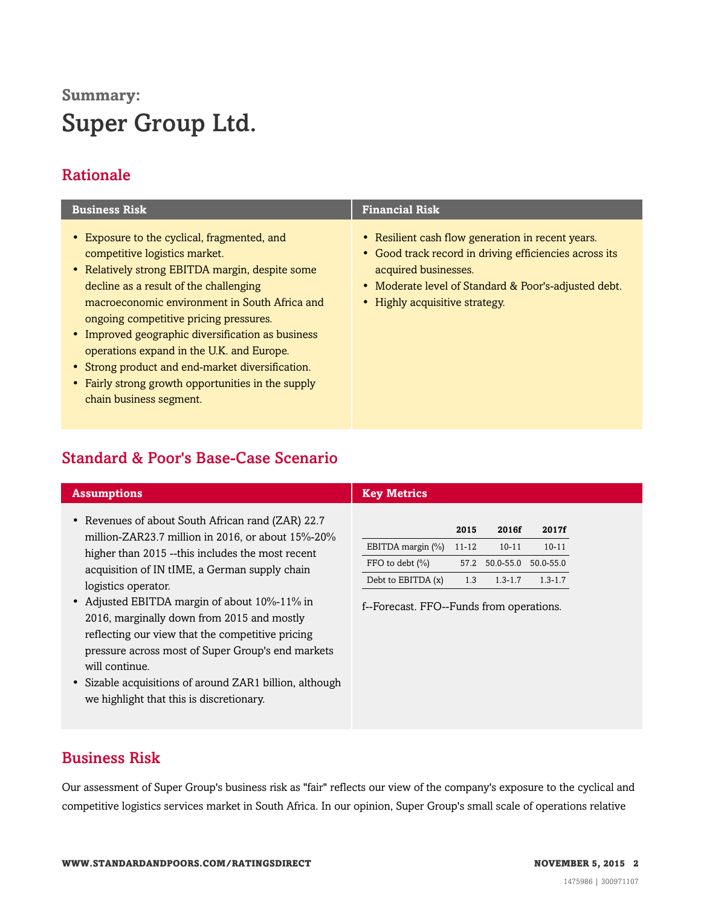# **Summary:** Super Group Ltd.

## <span id="page-1-0"></span>Rationale

| <b>Business Risk</b>                                                                                                                                                                                                                                                                                                                                                                                                                                                                                        | <b>Financial Risk</b>                                                                                                                                                                                                         |
|-------------------------------------------------------------------------------------------------------------------------------------------------------------------------------------------------------------------------------------------------------------------------------------------------------------------------------------------------------------------------------------------------------------------------------------------------------------------------------------------------------------|-------------------------------------------------------------------------------------------------------------------------------------------------------------------------------------------------------------------------------|
| • Exposure to the cyclical, fragmented, and<br>competitive logistics market.<br>• Relatively strong EBITDA margin, despite some<br>decline as a result of the challenging<br>macroeconomic environment in South Africa and<br>ongoing competitive pricing pressures.<br>• Improved geographic diversification as business<br>operations expand in the U.K. and Europe.<br>• Strong product and end-market diversification.<br>• Fairly strong growth opportunities in the supply<br>chain business segment. | • Resilient cash flow generation in recent years.<br>• Good track record in driving efficiencies across its<br>acquired businesses.<br>• Moderate level of Standard & Poor's-adjusted debt.<br>• Highly acquisitive strategy. |

## <span id="page-1-1"></span>Standard & Poor's Base-Case Scenario

| <b>Assumptions</b>                                                                                                                             | <b>Key Metrics</b>                       |           |             |             |
|------------------------------------------------------------------------------------------------------------------------------------------------|------------------------------------------|-----------|-------------|-------------|
| • Revenues of about South African rand (ZAR) 22.7<br>million-ZAR23.7 million in 2016, or about $15\%$ -20%                                     |                                          | 2015      | 2016f       | 2017f       |
| higher than 2015 --this includes the most recent                                                                                               | EBITDA margin (%)                        | $11 - 12$ | $10 - 11$   | $10 - 11$   |
| acquisition of IN tIME, a German supply chain                                                                                                  | FFO to debt $(\% )$                      | 57.2      | 50.0-55.0   | 50.0-55.0   |
| logistics operator.                                                                                                                            | Debt to EBITDA (x)                       | 1.3       | $1.3 - 1.7$ | $1.3 - 1.7$ |
| • Adjusted EBITDA margin of about 10%-11% in<br>2016, marginally down from 2015 and mostly<br>reflecting our view that the competitive pricing | f--Forecast. FFO--Funds from operations. |           |             |             |
| pressure across most of Super Group's end markets<br>will continue.                                                                            |                                          |           |             |             |
| • Sizable acquisitions of around ZAR1 billion, although                                                                                        |                                          |           |             |             |

## <span id="page-1-2"></span>Business Risk

Our assessment of Super Group's business risk as "fair" reflects our view of the company's exposure to the cyclical and competitive logistics services market in South Africa. In our opinion, Super Group's small scale of operations relative

we highlight that this is discretionary.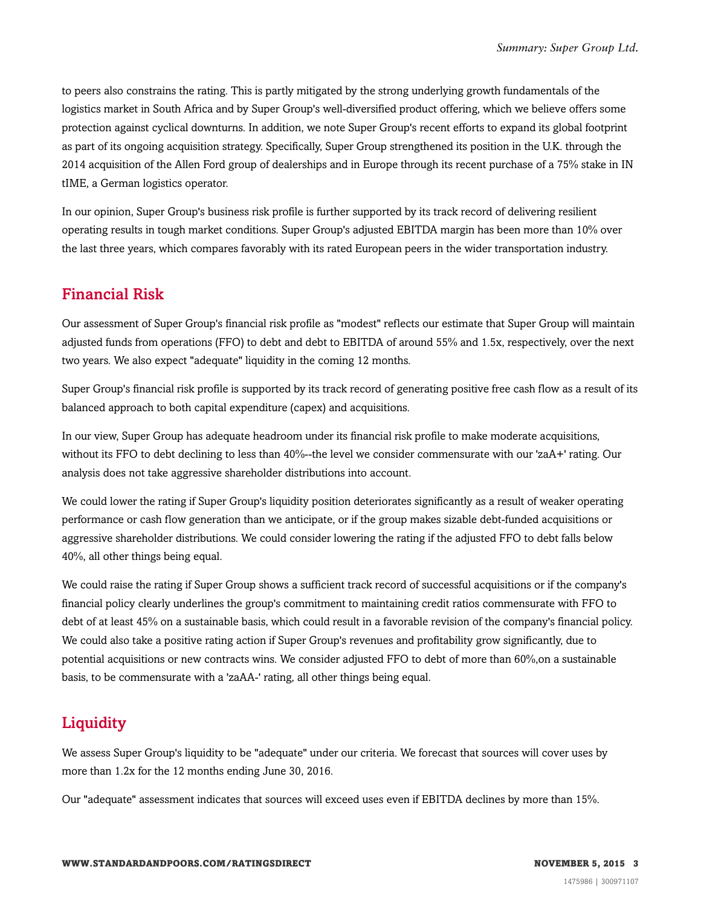to peers also constrains the rating. This is partly mitigated by the strong underlying growth fundamentals of the logistics market in South Africa and by Super Group's well-diversified product offering, which we believe offers some protection against cyclical downturns. In addition, we note Super Group's recent efforts to expand its global footprint as part of its ongoing acquisition strategy. Specifically, Super Group strengthened its position in the U.K. through the 2014 acquisition of the Allen Ford group of dealerships and in Europe through its recent purchase of a 75% stake in IN tIME, a German logistics operator.

In our opinion, Super Group's business risk profile is further supported by its track record of delivering resilient operating results in tough market conditions. Super Group's adjusted EBITDA margin has been more than 10% over the last three years, which compares favorably with its rated European peers in the wider transportation industry.

### <span id="page-2-0"></span>Financial Risk

Our assessment of Super Group's financial risk profile as "modest" reflects our estimate that Super Group will maintain adjusted funds from operations (FFO) to debt and debt to EBITDA of around 55% and 1.5x, respectively, over the next two years. We also expect "adequate" liquidity in the coming 12 months.

Super Group's financial risk profile is supported by its track record of generating positive free cash flow as a result of its balanced approach to both capital expenditure (capex) and acquisitions.

In our view, Super Group has adequate headroom under its financial risk profile to make moderate acquisitions, without its FFO to debt declining to less than 40%--the level we consider commensurate with our 'zaA+' rating. Our analysis does not take aggressive shareholder distributions into account.

We could lower the rating if Super Group's liquidity position deteriorates significantly as a result of weaker operating performance or cash flow generation than we anticipate, or if the group makes sizable debt-funded acquisitions or aggressive shareholder distributions. We could consider lowering the rating if the adjusted FFO to debt falls below 40%, all other things being equal.

We could raise the rating if Super Group shows a sufficient track record of successful acquisitions or if the company's financial policy clearly underlines the group's commitment to maintaining credit ratios commensurate with FFO to debt of at least 45% on a sustainable basis, which could result in a favorable revision of the company's financial policy. We could also take a positive rating action if Super Group's revenues and profitability grow significantly, due to potential acquisitions or new contracts wins. We consider adjusted FFO to debt of more than 60%,on a sustainable basis, to be commensurate with a 'zaAA-' rating, all other things being equal.

## <span id="page-2-1"></span>**Liquidity**

We assess Super Group's liquidity to be "adequate" under our criteria. We forecast that sources will cover uses by more than 1.2x for the 12 months ending June 30, 2016.

Our "adequate" assessment indicates that sources will exceed uses even if EBITDA declines by more than 15%.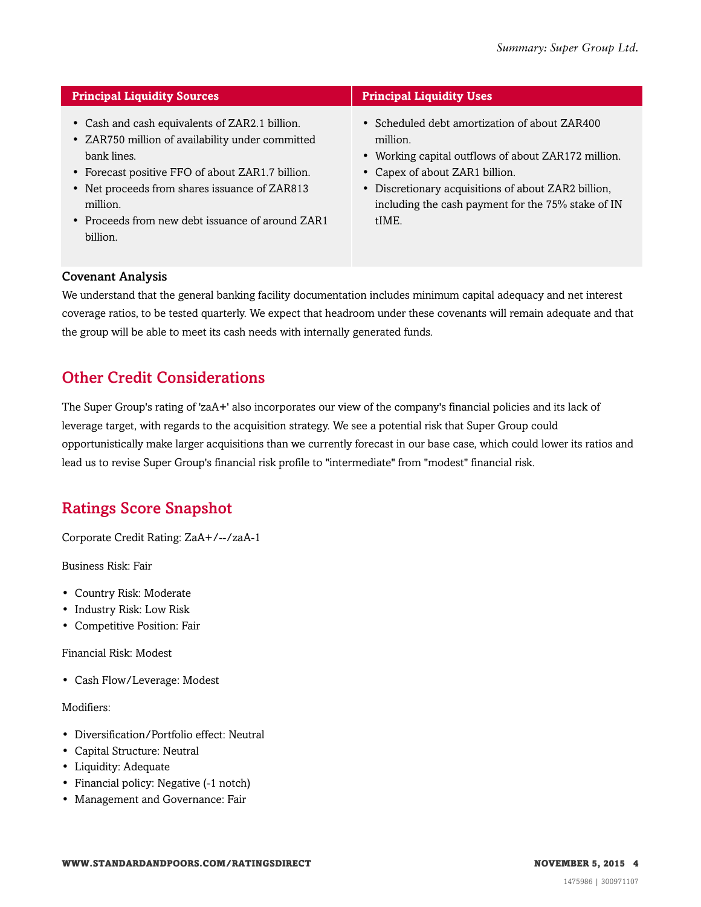| <b>Principal Liquidity Sources</b>                                                                                                                                                                                                                                                                   | <b>Principal Liquidity Uses</b>                                                                                                                                                                                                                                          |
|------------------------------------------------------------------------------------------------------------------------------------------------------------------------------------------------------------------------------------------------------------------------------------------------------|--------------------------------------------------------------------------------------------------------------------------------------------------------------------------------------------------------------------------------------------------------------------------|
| • Cash and cash equivalents of ZAR2.1 billion.<br>• ZAR750 million of availability under committed<br>bank lines.<br>• Forecast positive FFO of about ZAR1.7 billion.<br>• Net proceeds from shares issuance of ZAR813<br>million.<br>• Proceeds from new debt issuance of around $ZAR1$<br>billion. | • Scheduled debt amortization of about ZAR400<br>million.<br>• Working capital outflows of about ZAR172 million.<br>• Capex of about ZAR1 billion.<br>• Discretionary acquisitions of about ZAR2 billion,<br>including the cash payment for the 75% stake of IN<br>tIME. |

#### Covenant Analysis

We understand that the general banking facility documentation includes minimum capital adequacy and net interest coverage ratios, to be tested quarterly. We expect that headroom under these covenants will remain adequate and that the group will be able to meet its cash needs with internally generated funds.

## <span id="page-3-0"></span>Other Credit Considerations

The Super Group's rating of 'zaA+' also incorporates our view of the company's financial policies and its lack of leverage target, with regards to the acquisition strategy. We see a potential risk that Super Group could opportunistically make larger acquisitions than we currently forecast in our base case, which could lower its ratios and lead us to revise Super Group's financial risk profile to "intermediate" from "modest" financial risk.

## <span id="page-3-1"></span>Ratings Score Snapshot

Corporate Credit Rating: ZaA+/--/zaA-1

Business Risk: Fair

- Country Risk: Moderate
- Industry Risk: Low Risk
- Competitive Position: Fair

Financial Risk: Modest

• Cash Flow/Leverage: Modest

#### Modifiers:

- Diversification/Portfolio effect: Neutral
- Capital Structure: Neutral
- Liquidity: Adequate
- Financial policy: Negative (-1 notch)
- Management and Governance: Fair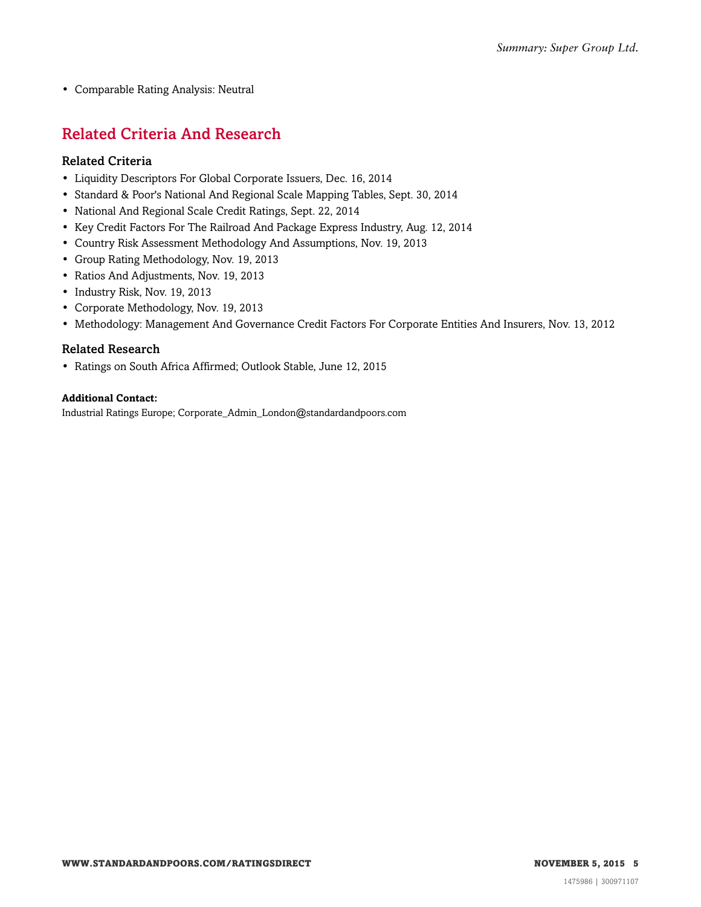<span id="page-4-0"></span>• Comparable Rating Analysis: Neutral

## Related Criteria And Research

#### Related Criteria

- Liquidity Descriptors For Global Corporate Issuers, Dec. 16, 2014
- Standard & Poor's National And Regional Scale Mapping Tables, Sept. 30, 2014
- National And Regional Scale Credit Ratings, Sept. 22, 2014
- Key Credit Factors For The Railroad And Package Express Industry, Aug. 12, 2014
- Country Risk Assessment Methodology And Assumptions, Nov. 19, 2013
- Group Rating Methodology, Nov. 19, 2013
- Ratios And Adjustments, Nov. 19, 2013
- Industry Risk, Nov. 19, 2013
- Corporate Methodology, Nov. 19, 2013
- Methodology: Management And Governance Credit Factors For Corporate Entities And Insurers, Nov. 13, 2012

#### Related Research

• Ratings on South Africa Affirmed; Outlook Stable, June 12, 2015

#### **Additional Contact:**

Industrial Ratings Europe; Corporate\_Admin\_London@standardandpoors.com